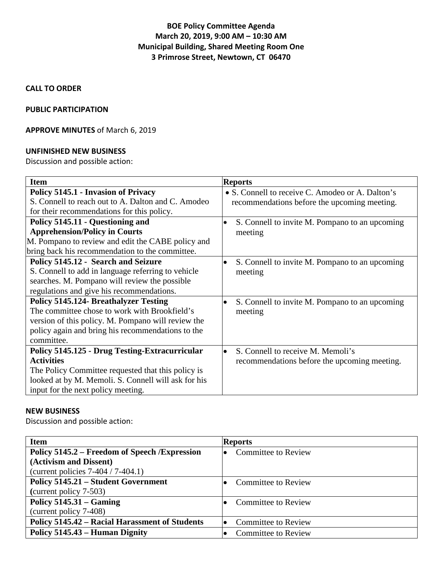# **BOE Policy Committee Agenda March 20, 2019, 9:00 AM – 10:30 AM Municipal Building, Shared Meeting Room One 3 Primrose Street, Newtown, CT 06470**

### **CALL TO ORDER**

#### **PUBLIC PARTICIPATION**

# **APPROVE MINUTES** of March 6, 2019

#### **UNFINISHED NEW BUSINESS**

Discussion and possible action:

| <b>Item</b>                                           | <b>Reports</b>                                   |
|-------------------------------------------------------|--------------------------------------------------|
| Policy 5145.1 - Invasion of Privacy                   | • S. Connell to receive C. Amodeo or A. Dalton's |
| S. Connell to reach out to A. Dalton and C. Amodeo    | recommendations before the upcoming meeting.     |
| for their recommendations for this policy.            |                                                  |
| Policy 5145.11 - Questioning and                      | S. Connell to invite M. Pompano to an upcoming   |
| <b>Apprehension/Policy in Courts</b>                  | meeting                                          |
| M. Pompano to review and edit the CABE policy and     |                                                  |
| bring back his recommendation to the committee.       |                                                  |
| Policy 5145.12 - Search and Seizure                   | S. Connell to invite M. Pompano to an upcoming   |
| S. Connell to add in language referring to vehicle    | meeting                                          |
| searches. M. Pompano will review the possible         |                                                  |
| regulations and give his recommendations.             |                                                  |
| <b>Policy 5145.124- Breathalyzer Testing</b>          | S. Connell to invite M. Pompano to an upcoming   |
| The committee chose to work with Brookfield's         | meeting                                          |
| version of this policy. M. Pompano will review the    |                                                  |
| policy again and bring his recommendations to the     |                                                  |
| committee.                                            |                                                  |
| <b>Policy 5145.125 - Drug Testing-Extracurricular</b> | S. Connell to receive M. Memoli's                |
| <b>Activities</b>                                     | recommendations before the upcoming meeting.     |
| The Policy Committee requested that this policy is    |                                                  |
| looked at by M. Memoli. S. Connell will ask for his   |                                                  |
| input for the next policy meeting.                    |                                                  |

### **NEW BUSINESS**

Discussion and possible action:

| <b>Item</b>                                    | <b>Reports</b>                          |
|------------------------------------------------|-----------------------------------------|
| Policy 5145.2 – Freedom of Speech / Expression | <b>Committee to Review</b><br>$\bullet$ |
| (Activism and Dissent)                         |                                         |
| (current policies $7-404/7-404.1$ )            |                                         |
| <b>Policy 5145.21 – Student Government</b>     | <b>Committee to Review</b><br>10        |
| (current policy 7-503)                         |                                         |
| Policy $5145.31 -$ Gaming                      | <b>Committee to Review</b><br>$\bullet$ |
| (current policy 7-408)                         |                                         |
| Policy 5145.42 – Racial Harassment of Students | <b>Committee to Review</b><br>$\bullet$ |
| Policy 5145.43 – Human Dignity                 | <b>Committee to Review</b><br>$\bullet$ |